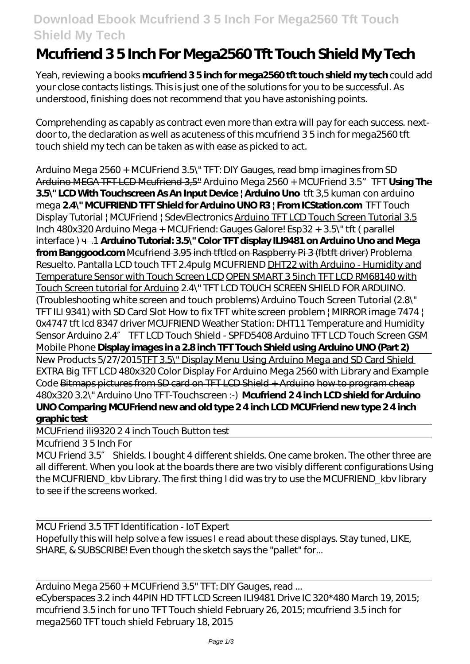## **Download Ebook Mcufriend 3 5 Inch For Mega2560 Tft Touch Shield My Tech**

## **Mcufriend 3 5 Inch For Mega2560 Tft Touch Shield My Tech**

Yeah, reviewing a books **mcufriend 3 5 inch for mega2560 tft touch shield my tech** could add your close contacts listings. This is just one of the solutions for you to be successful. As understood, finishing does not recommend that you have astonishing points.

Comprehending as capably as contract even more than extra will pay for each success. nextdoor to, the declaration as well as acuteness of this mcufriend 3 5 inch for mega2560 tft touch shield my tech can be taken as with ease as picked to act.

*Arduino Mega 2560 + MCUFriend 3.5\" TFT: DIY Gauges, read bmp imagines from SD* Arduino MEGA TFT LCD Mcufriend 3,5'' *Arduino Mega 2560 + MCUFriend 3.5"TFT* **Using The 3.5\" LCD With Touchscreen As An Input Device | Arduino Uno** *tft 3,5 kuman con arduino mega* **2.4\" MCUFRIEND TFT Shield for Arduino UNO R3 | From ICStation.com** TFT Touch Display Tutorial | MCUFriend | SdevElectronics Arduino TFT LCD Touch Screen Tutorial 3.5 Inch 480x320 Arduino Mega + MCUFriend: Gauges Galore! Esp32 + 3.5\" tft ( parallel interface ) ч.1 **Arduino Tutorial: 3.5\" Color TFT display ILI9481 on Arduino Uno and Mega** from Banggood.com Mcufriend 3.95 inch tftlcd on Raspberry Pi 3 (fbtft driver) Problema Resuelto. Pantalla LCD touch TFT 2.4pulg MCUFRIEND DHT22 with Arduino - Humidity and Temperature Sensor with Touch Screen LCD OPEN SMART 3 5inch TFT LCD RM68140 with Touch Screen tutorial for Arduino 2.4\" TFT LCD TOUCH SCREEN SHIELD FOR ARDUINO. (Troubleshooting white screen and touch problems) Arduino Touch Screen Tutorial (2.8\" TFT ILI 9341) with SD Card Slot *How to fix TFT white screen problem | MIRROR image 7474 | 0x4747 tft lcd 8347 driver MCUFRIEND Weather Station: DHT11 Temperature and Humidity Sensor Arduino 2.4″ TFT LCD Touch Shield - SPFD5408 Arduino TFT LCD Touch Screen GSM Mobile Phone* **Display images in a 2.8 inch TFT Touch Shield using Arduino UNO (Part 2)** New Products 5/27/2015TFT 3.5\" Display Menu Using Arduino Mega and SD Card Shield EXTRA Big TFT LCD 480x320 Color Display For Arduino Mega 2560 with Library and Example Code Bitmaps pictures from SD card on TFT LCD Shield + Arduino how to program cheap 480x320 3.2\" Arduino Uno TFT-Touchscreen :-) **Mcufriend 2 4 inch LCD shield for Arduino UNO Comparing MCUFriend new and old type 2 4 inch LCD MCUFriend new type 2 4 inch graphic test**

MCUFriend ili9320 2 4 inch Touch Button test

Mcufriend 3 5 Inch For

MCU Friend 3.5 Shields. I bought 4 different shields. One came broken. The other three are all different. When you look at the boards there are two visibly different configurations Using the MCUFRIEND\_kbv Library. The first thing I did was try to use the MCUFRIEND\_kbv library to see if the screens worked.

MCU Friend 3.5 TFT Identification - IoT Expert Hopefully this will help solve a few issues I e read about these displays. Stay tuned, LIKE, SHARE, & SUBSCRIBE! Even though the sketch says the "pallet" for...

Arduino Mega 2560 + MCUFriend 3.5" TFT: DIY Gauges, read ... eCyberspaces 3.2 inch 44PIN HD TFT LCD Screen ILI9481 Drive IC 320\*480 March 19, 2015; mcufriend 3.5 inch for uno TFT Touch shield February 26, 2015; mcufriend 3.5 inch for mega2560 TFT touch shield February 18, 2015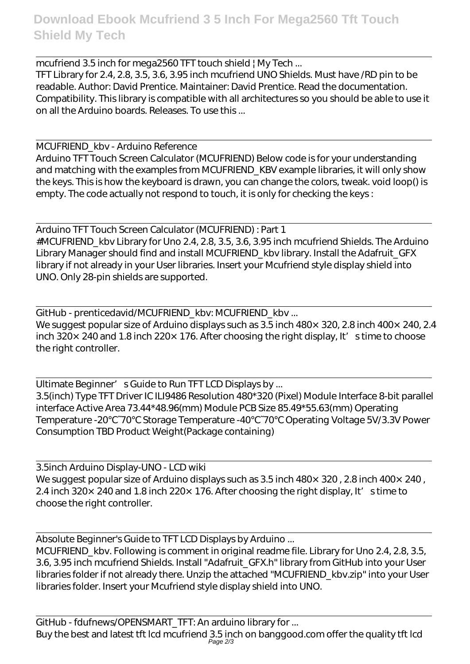mcufriend 3.5 inch for mega2560 TFT touch shield | My Tech ... TFT Library for 2.4, 2.8, 3.5, 3.6, 3.95 inch mcufriend UNO Shields. Must have /RD pin to be readable. Author: David Prentice. Maintainer: David Prentice. Read the documentation. Compatibility. This library is compatible with all architectures so you should be able to use it on all the Arduino boards. Releases. To use this ...

MCUFRIEND\_kbv - Arduino Reference

Arduino TFT Touch Screen Calculator (MCUFRIEND) Below code is for your understanding and matching with the examples from MCUFRIEND KBV example libraries, it will only show the keys. This is how the keyboard is drawn, you can change the colors, tweak. void loop() is empty. The code actually not respond to touch, it is only for checking the keys :

Arduino TFT Touch Screen Calculator (MCUFRIEND) : Part 1 #MCUFRIEND\_kbv Library for Uno 2.4, 2.8, 3.5, 3.6, 3.95 inch mcufriend Shields. The Arduino Library Manager should find and install MCUFRIEND\_kbv library. Install the Adafruit\_GFX library if not already in your User libraries. Insert your Mcufriend style display shield into UNO. Only 28-pin shields are supported.

GitHub - prenticedavid/MCUFRIEND\_kbv: MCUFRIEND\_kbv ...

We suggest popular size of Arduino displays such as  $3.5$  inch  $480\times320$ , 2.8 inch  $400\times240$ , 2.4 inch 320 $\times$  240 and 1.8 inch 220 $\times$  176. After choosing the right display, It' s time to choose the right controller.

Ultimate Beginner' s Guide to Run TFT LCD Displays by ... 3.5(inch) Type TFT Driver IC ILI9486 Resolution 480\*320 (Pixel) Module Interface 8-bit parallel interface Active Area 73.44\*48.96(mm) Module PCB Size 85.49\*55.63(mm) Operating Temperature -20 ~70 Storage Temperature -40 ~70 Operating Voltage 5V/3.3V Power Consumption TBD Product Weight(Package containing)

3.5inch Arduino Display-UNO - LCD wiki We suggest popular size of Arduino displays such as  $3.5$  inch  $480\times320$ , 2.8 inch  $400\times240$ , 2.4 inch 320 $\times$  240 and 1.8 inch 220 $\times$  176. After choosing the right display, It's time to choose the right controller.

Absolute Beginner's Guide to TFT LCD Displays by Arduino ...

MCUFRIEND kby. Following is comment in original readme file. Library for Uno 2.4, 2.8, 3.5, 3.6, 3.95 inch mcufriend Shields. Install "Adafruit\_GFX.h" library from GitHub into your User libraries folder if not already there. Unzip the attached "MCUFRIEND\_kbv.zip" into your User libraries folder. Insert your Mcufriend style display shield into UNO.